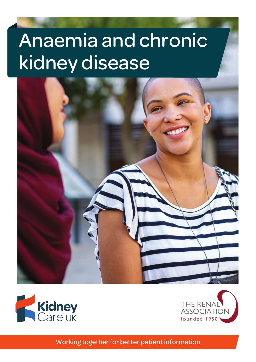# Anaemia and chronic kidney disease







Working together for better patient information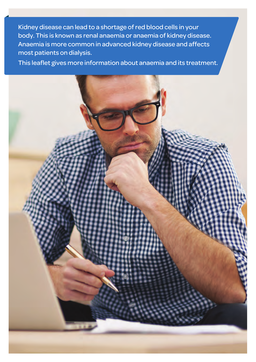Kidney disease can lead to a shortage of red blood cells in your body. This is known as renal anaemia or anaemia of kidney disease. Anaemia is more common in advanced kidney disease and affects most patients on dialysis.

This leaflet gives more information about anaemia and its treatment.

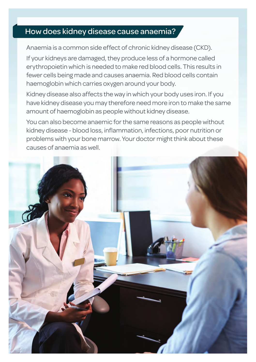## How does kidney disease cause anaemia?

Anaemia is a common side effect of chronic kidney disease (CKD).

If your kidneys are damaged, they produce less of a hormone called erythropoietin which is needed to make red blood cells. This results in fewer cells being made and causes anaemia. Red blood cells contain haemoglobin which carries oxygen around your body.

Kidney disease also affects the way in which your body uses iron. If you have kidney disease you may therefore need more iron to make the same amount of haemoglobin as people without kidney disease.

You can also become anaemic for the same reasons as people without kidney disease - blood loss, inflammation, infections, poor nutrition or problems with your bone marrow. Your doctor might think about these causes of anaemia as well.

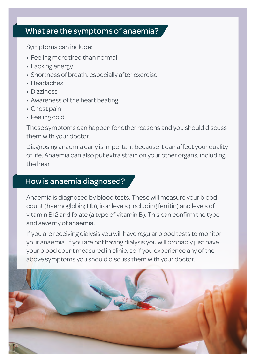#### What are the symptoms of anaemia?

Symptoms can include:

- Feeling more tired than normal
- Lacking energy
- Shortness of breath, especially after exercise
- Headaches
- Dizziness
- Awareness of the heart beating
- Chest pain
- Feeling cold

These symptoms can happen for other reasons and you should discuss them with your doctor.

Diagnosing anaemia early is important because it can affect your quality of life. Anaemia can also put extra strain on your other organs, including the heart.

### How is anaemia diagnosed?

Anaemia is diagnosed by blood tests. These will measure your blood count (haemoglobin; Hb), iron levels (including ferritin) and levels of vitamin B12 and folate (a type of vitamin B). This can confirm the type and severity of anaemia.

If you are receiving dialysis you will have regular blood tests to monitor your anaemia. If you are not having dialysis you will probably just have your blood count measured in clinic, so if you experience any of the above symptoms you should discuss them with your doctor.

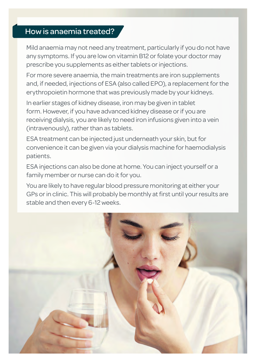# How is anaemia treated?

Mild anaemia may not need any treatment, particularly if you do not have any symptoms. If you are low on vitamin B12 or folate your doctor may prescribe you supplements as either tablets or injections.

For more severe anaemia, the main treatments are iron supplements and, if needed, injections of ESA (also called EPO), a replacement for the erythropoietin hormone that was previously made by your kidneys.

In earlier stages of kidney disease, iron may be given in tablet form. However, if you have advanced kidney disease or if you are receiving dialysis, you are likely to need iron infusions given into a vein (intravenously), rather than as tablets.

ESA treatment can be injected just underneath your skin, but for convenience it can be given via your dialysis machine for haemodialysis patients.

ESA injections can also be done at home. You can inject yourself or a family member or nurse can do it for you.

You are likely to have regular blood pressure monitoring at either your GPs or in clinic. This will probably be monthly at first until your results are stable and then every 6-12 weeks.

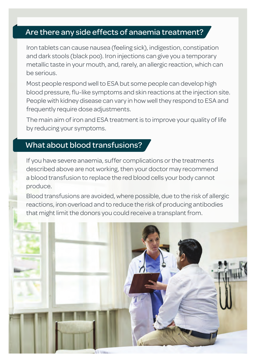## Are there any side effects of anaemia treatment?

Iron tablets can cause nausea (feeling sick), indigestion, constipation and dark stools (black poo). Iron injections can give you a temporary metallic taste in your mouth, and, rarely, an allergic reaction, which can be serious.

Most people respond well to ESA but some people can develop high blood pressure, flu-like symptoms and skin reactions at the injection site. People with kidney disease can vary in how well they respond to ESA and frequently require dose adjustments.

The main aim of iron and ESA treatment is to improve your quality of life by reducing your symptoms.

## What about blood transfusions?

If you have severe anaemia, suffer complications or the treatments described above are not working, then your doctor may recommend a blood transfusion to replace the red blood cells your body cannot produce.

Blood transfusions are avoided, where possible, due to the risk of allergic reactions, iron overload and to reduce the risk of producing antibodies that might limit the donors you could receive a transplant from.

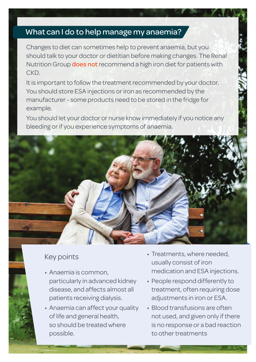#### What can I do to help manage my anaemia?

Changes to diet can sometimes help to prevent anaemia, but you should talk to your doctor or dietitian before making changes. The Renal Nutrition Group **does not** recommend a high iron diet for patients with CKD.

It is important to follow the treatment recommended by your doctor. You should store ESA injections or iron as recommended by the manufacturer - some products need to be stored in the fridge for example.

You should let your doctor or nurse know immediately if you notice any bleeding or if you experience symptoms of anaemia.



### Key points

- Anaemia is common, particularly in advanced kidney disease, and affects almost all patients receiving dialysis.
- Anaemia can affect your quality of life and general health, so should be treated where possible.
- Treatments, where needed, usually consist of iron medication and ESA injections.
- People respond differently to treatment, often requiring dose adjustments in iron or ESA.
- Blood transfusions are often not used, and given only if there is no response or a bad reaction to other treatments